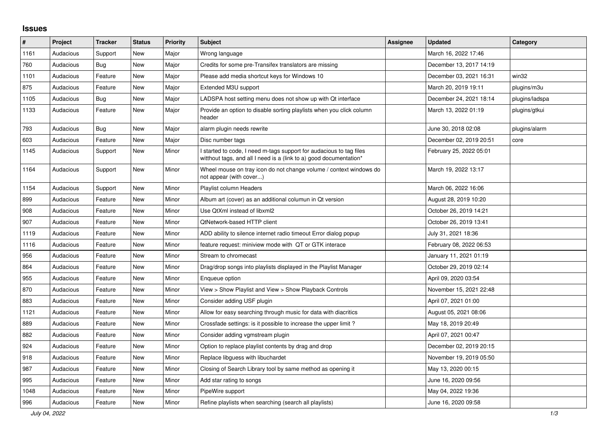## **Issues**

| ∦    | Project   | <b>Tracker</b> | <b>Status</b> | <b>Priority</b> | <b>Subject</b>                                                                                                                            | <b>Assignee</b> | <b>Updated</b>          | Category       |
|------|-----------|----------------|---------------|-----------------|-------------------------------------------------------------------------------------------------------------------------------------------|-----------------|-------------------------|----------------|
| 1161 | Audacious | Support        | <b>New</b>    | Major           | Wrong language                                                                                                                            |                 | March 16, 2022 17:46    |                |
| 760  | Audacious | Bug            | <b>New</b>    | Major           | Credits for some pre-Transifex translators are missing                                                                                    |                 | December 13, 2017 14:19 |                |
| 1101 | Audacious | Feature        | <b>New</b>    | Major           | Please add media shortcut keys for Windows 10                                                                                             |                 | December 03, 2021 16:31 | win32          |
| 875  | Audacious | Feature        | <b>New</b>    | Major           | Extended M3U support                                                                                                                      |                 | March 20, 2019 19:11    | plugins/m3u    |
| 1105 | Audacious | Bug            | <b>New</b>    | Major           | LADSPA host setting menu does not show up with Qt interface                                                                               |                 | December 24, 2021 18:14 | plugins/ladspa |
| 1133 | Audacious | Feature        | <b>New</b>    | Major           | Provide an option to disable sorting playlists when you click column<br>header                                                            |                 | March 13, 2022 01:19    | plugins/gtkui  |
| 793  | Audacious | Bug            | <b>New</b>    | Major           | alarm plugin needs rewrite                                                                                                                |                 | June 30, 2018 02:08     | plugins/alarm  |
| 603  | Audacious | Feature        | <b>New</b>    | Major           | Disc number tags                                                                                                                          |                 | December 02, 2019 20:51 | core           |
| 1145 | Audacious | Support        | <b>New</b>    | Minor           | I started to code, I need m-tags support for audacious to tag files<br>witthout tags, and all I need is a (link to a) good documentation* |                 | February 25, 2022 05:01 |                |
| 1164 | Audacious | Support        | <b>New</b>    | Minor           | Wheel mouse on tray icon do not change volume / context windows do<br>not appear (with cover)                                             |                 | March 19, 2022 13:17    |                |
| 1154 | Audacious | Support        | <b>New</b>    | Minor           | Playlist column Headers                                                                                                                   |                 | March 06, 2022 16:06    |                |
| 899  | Audacious | Feature        | <b>New</b>    | Minor           | Album art (cover) as an additional columun in Qt version                                                                                  |                 | August 28, 2019 10:20   |                |
| 908  | Audacious | Feature        | <b>New</b>    | Minor           | Use QtXml instead of libxml2                                                                                                              |                 | October 26, 2019 14:21  |                |
| 907  | Audacious | Feature        | <b>New</b>    | Minor           | QtNetwork-based HTTP client                                                                                                               |                 | October 26, 2019 13:41  |                |
| 1119 | Audacious | Feature        | New           | Minor           | ADD ability to silence internet radio timeout Error dialog popup                                                                          |                 | July 31, 2021 18:36     |                |
| 1116 | Audacious | Feature        | New           | Minor           | feature request: miniview mode with QT or GTK interace                                                                                    |                 | February 08, 2022 06:53 |                |
| 956  | Audacious | Feature        | <b>New</b>    | Minor           | Stream to chromecast                                                                                                                      |                 | January 11, 2021 01:19  |                |
| 864  | Audacious | Feature        | <b>New</b>    | Minor           | Drag/drop songs into playlists displayed in the Playlist Manager                                                                          |                 | October 29, 2019 02:14  |                |
| 955  | Audacious | Feature        | <b>New</b>    | Minor           | Enqueue option                                                                                                                            |                 | April 09, 2020 03:54    |                |
| 870  | Audacious | Feature        | <b>New</b>    | Minor           | View > Show Playlist and View > Show Playback Controls                                                                                    |                 | November 15, 2021 22:48 |                |
| 883  | Audacious | Feature        | <b>New</b>    | Minor           | Consider adding USF plugin                                                                                                                |                 | April 07, 2021 01:00    |                |
| 1121 | Audacious | Feature        | New           | Minor           | Allow for easy searching through music for data with diacritics                                                                           |                 | August 05, 2021 08:06   |                |
| 889  | Audacious | Feature        | <b>New</b>    | Minor           | Crossfade settings: is it possible to increase the upper limit?                                                                           |                 | May 18, 2019 20:49      |                |
| 882  | Audacious | Feature        | <b>New</b>    | Minor           | Consider adding vgmstream plugin                                                                                                          |                 | April 07, 2021 00:47    |                |
| 924  | Audacious | Feature        | <b>New</b>    | Minor           | Option to replace playlist contents by drag and drop                                                                                      |                 | December 02, 2019 20:15 |                |
| 918  | Audacious | Feature        | <b>New</b>    | Minor           | Replace libguess with libuchardet                                                                                                         |                 | November 19, 2019 05:50 |                |
| 987  | Audacious | Feature        | <b>New</b>    | Minor           | Closing of Search Library tool by same method as opening it                                                                               |                 | May 13, 2020 00:15      |                |
| 995  | Audacious | Feature        | New           | Minor           | Add star rating to songs                                                                                                                  |                 | June 16, 2020 09:56     |                |
| 1048 | Audacious | Feature        | <b>New</b>    | Minor           | PipeWire support                                                                                                                          |                 | May 04, 2022 19:36      |                |
| 996  | Audacious | Feature        | <b>New</b>    | Minor           | Refine playlists when searching (search all playlists)                                                                                    |                 | June 16, 2020 09:58     |                |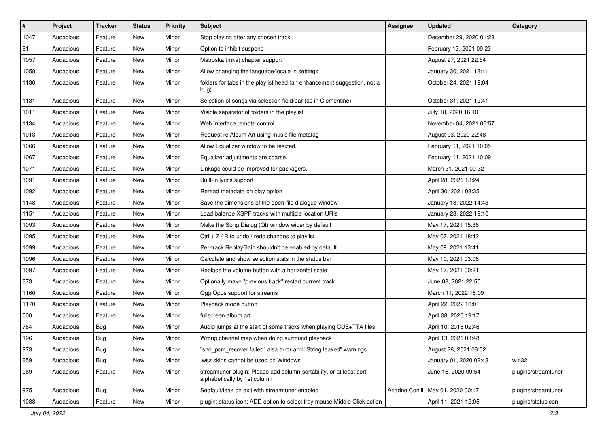| $\pmb{\#}$ | Project   | <b>Tracker</b> | <b>Status</b> | <b>Priority</b> | Subject                                                                                             | <b>Assignee</b> | <b>Updated</b>          | Category            |
|------------|-----------|----------------|---------------|-----------------|-----------------------------------------------------------------------------------------------------|-----------------|-------------------------|---------------------|
| 1047       | Audacious | Feature        | New           | Minor           | Stop playing after any chosen track                                                                 |                 | December 29, 2020 01:23 |                     |
| 51         | Audacious | Feature        | New           | Minor           | Option to inhibit suspend                                                                           |                 | February 13, 2021 09:23 |                     |
| 1057       | Audacious | Feature        | New           | Minor           | Matroska (mka) chapter support                                                                      |                 | August 27, 2021 22:54   |                     |
| 1058       | Audacious | Feature        | New           | Minor           | Allow changing the language/locale in settings                                                      |                 | January 30, 2021 18:11  |                     |
| 1130       | Audacious | Feature        | New           | Minor           | folders for tabs in the playlist head (an enhancement suggestion, not a<br>bug)                     |                 | October 24, 2021 19:04  |                     |
| 1131       | Audacious | Feature        | New           | Minor           | Selection of songs via selection field/bar (as in Clementine)                                       |                 | October 31, 2021 12:41  |                     |
| 1011       | Audacious | Feature        | New           | Minor           | Visible separator of folders in the playlist                                                        |                 | July 18, 2020 16:10     |                     |
| 1134       | Audacious | Feature        | New           | Minor           | Web interface remote control                                                                        |                 | November 04, 2021 06:57 |                     |
| 1013       | Audacious | Feature        | New           | Minor           | Request re Album Art using music file metatag                                                       |                 | August 03, 2020 22:48   |                     |
| 1066       | Audacious | Feature        | New           | Minor           | Allow Equalizer window to be resized.                                                               |                 | February 11, 2021 10:05 |                     |
| 1067       | Audacious | Feature        | New           | Minor           | Equalizer adjustments are coarse.                                                                   |                 | February 11, 2021 10:09 |                     |
| 1071       | Audacious | Feature        | New           | Minor           | Linkage could be improved for packagers.                                                            |                 | March 31, 2021 00:32    |                     |
| 1091       | Audacious | Feature        | New           | Minor           | Built-in lyrics support                                                                             |                 | April 28, 2021 18:24    |                     |
| 1092       | Audacious | Feature        | New           | Minor           | Reread metadata on play option                                                                      |                 | April 30, 2021 03:35    |                     |
| 1148       | Audacious | Feature        | New           | Minor           | Save the dimensions of the open-file dialogue window                                                |                 | January 18, 2022 14:43  |                     |
| 1151       | Audacious | Feature        | New           | Minor           | Load balance XSPF tracks with multiple location URIs                                                |                 | January 28, 2022 19:10  |                     |
| 1093       | Audacious | Feature        | New           | Minor           | Make the Song Dialog (Qt) window wider by default                                                   |                 | May 17, 2021 15:36      |                     |
| 1095       | Audacious | Feature        | New           | Minor           | Ctrl $+ Z / R$ to undo / redo changes to playlist                                                   |                 | May 07, 2021 18:42      |                     |
| 1099       | Audacious | Feature        | New           | Minor           | Per-track ReplayGain shouldn't be enabled by default                                                |                 | May 09, 2021 13:41      |                     |
| 1096       | Audacious | Feature        | New           | Minor           | Calculate and show selection stats in the status bar                                                |                 | May 10, 2021 03:06      |                     |
| 1097       | Audacious | Feature        | New           | Minor           | Replace the volume button with a horizontal scale                                                   |                 | May 17, 2021 00:21      |                     |
| 873        | Audacious | Feature        | New           | Minor           | Optionally make "previous track" restart current track                                              |                 | June 08, 2021 22:55     |                     |
| 1160       | Audacious | Feature        | New           | Minor           | Ogg Opus support for streams                                                                        |                 | March 11, 2022 18:09    |                     |
| 1170       | Audacious | Feature        | New           | Minor           | Playback mode button                                                                                |                 | April 22, 2022 16:01    |                     |
| 500        | Audacious | Feature        | New           | Minor           | fullscreen album art                                                                                |                 | April 08, 2020 19:17    |                     |
| 784        | Audacious | <b>Bug</b>     | New           | Minor           | Audio jumps at the start of some tracks when playing CUE+TTA files                                  |                 | April 10, 2018 02:46    |                     |
| 196        | Audacious | <b>Bug</b>     | New           | Minor           | Wrong channel map when doing surround playback                                                      |                 | April 13, 2021 03:48    |                     |
| 973        | Audacious | Bug            | New           | Minor           | "snd pcm recover failed" alsa error and "String leaked" warnings                                    |                 | August 28, 2021 08:52   |                     |
| 859        | Audacious | Bug            | New           | Minor           | .wsz skins cannot be used on Windows                                                                |                 | January 01, 2020 02:48  | win32               |
| 969        | Audacious | Feature        | New           | Minor           | streamtuner plugin: Please add column-sortability, or at least sort<br>alphabetically by 1st column |                 | June 16, 2020 09:54     | plugins/streamtuner |
| 975        | Audacious | <b>Bug</b>     | New           | Minor           | Segfault/leak on exit with streamtuner enabled                                                      | Ariadne Conill  | May 01, 2020 00:17      | plugins/streamtuner |
| 1088       | Audacious | Feature        | New           | Minor           | plugin: status icon: ADD option to select tray mouse Middle Click action                            |                 | April 11, 2021 12:05    | plugins/statusicon  |